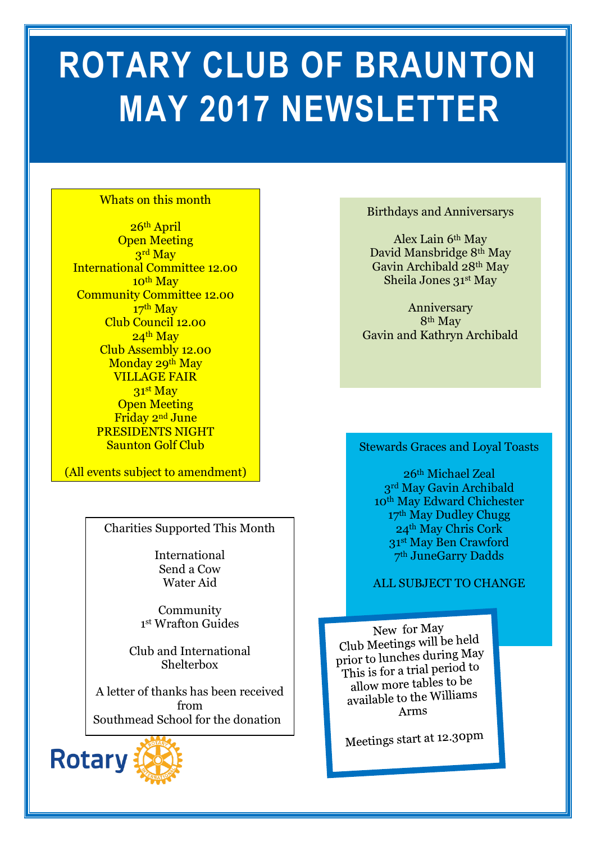# **ROTARY CLUB OF BRAUNTON MAY 2017 NEWSLETTER**

#### Whats on this month

26th April Open Meeting 3rd May International Committee 12.00 10<sup>th</sup> May Community Committee 12.00 17<sup>th</sup> May Club Council 12.00  $24<sup>th</sup>$  May Club Assembly 12.00 Monday 29<sup>th</sup> May VILLAGE FAIR 31st May Open Meeting Friday 2<sup>nd</sup> June PRESIDENTS NIGHT Saunton Golf Club

(All events subject to amendment)

Charities Supported This Month

International Send a Cow Water Aid

Community 1 st Wrafton Guides

Club and International Shelterbox

A letter of thanks has been received from Southmead School for the donation



#### Birthdays and Anniversarys

Alex Lain 6th May David Mansbridge 8th May Gavin Archibald 28th May Sheila Jones 31st May

Anniversary 8th May Gavin and Kathryn Archibald

## **In this issue…** Stewards Graces and Loyal Toasts

th Michael Zeal rd May Gavin Archibald th May Edward Chichester th May Dudley Chugg th May Chris Cork st May Ben Crawford th JuneGarry Dadds

#### ALL SUBJECT TO CHANGE

New for May Club Meetings will be held prior to lunches during May This is for a trial period to allow more tables to be allow more tables to  $\frac{1}{2}$ Arms

Meetings start at 12.30pm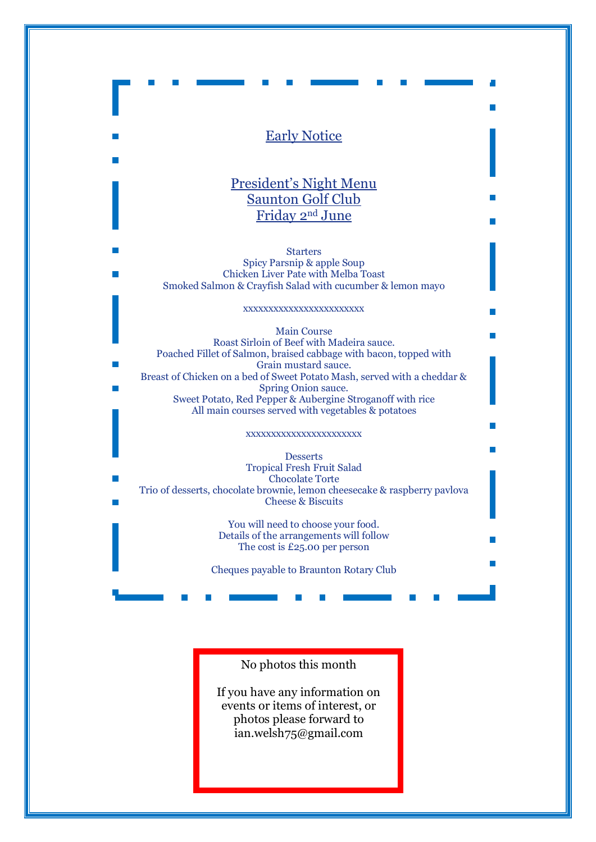#### Early Notice

### President's Night Menu Saunton Golf Club Friday 2nd June

Starters Spicy Parsnip & apple Soup Chicken Liver Pate with Melba Toast Smoked Salmon & Crayfish Salad with cucumber & lemon mayo

xxxxxxxxxxxxxxxxxxxxxxxx

Main Course Roast Sirloin of Beef with Madeira sauce. Poached Fillet of Salmon, braised cabbage with bacon, topped with Grain mustard sauce. Breast of Chicken on a bed of Sweet Potato Mash, served with a cheddar & Spring Onion sauce. Sweet Potato, Red Pepper & Aubergine Stroganoff with rice All main courses served with vegetables & potatoes

#### xxxxxxxxxxxxxxxxxxxxxxx

**Desserts** Tropical Fresh Fruit Salad Chocolate Torte Trio of desserts, chocolate brownie, lemon cheesecake & raspberry pavlova Cheese & Biscuits

> You will need to choose your food. Details of the arrangements will follow The cost is £25.00 per person

Cheques payable to Braunton Rotary Club

#### No photos this month

If you have any information on events or items of interest, or photos please forward to ian.welsh75@gmail.com